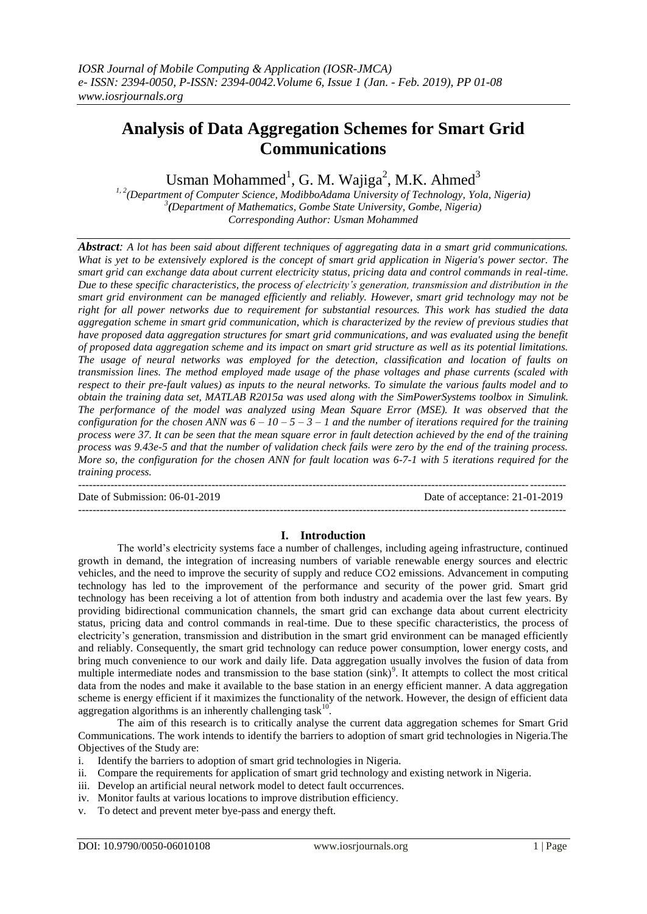# **Analysis of Data Aggregation Schemes for Smart Grid Communications**

Usman Mohammed<sup>1</sup>, G. M. Wajiga<sup>2</sup>, M.K. Ahmed<sup>3</sup>

*1, 2(Department of Computer Science, ModibboAdama University of Technology, Yola, Nigeria) 3 (Department of Mathematics, Gombe State University, Gombe, Nigeria) Corresponding Author: Usman Mohammed*

*Abstract: A lot has been said about different techniques of aggregating data in a smart grid communications. What is yet to be extensively explored is the concept of smart grid application in Nigeria's power sector. The smart grid can exchange data about current electricity status, pricing data and control commands in real-time. Due to these specific characteristics, the process of electricity's generation, transmission and distribution in the smart grid environment can be managed efficiently and reliably. However, smart grid technology may not be right for all power networks due to requirement for substantial resources. This work has studied the data aggregation scheme in smart grid communication, which is characterized by the review of previous studies that have proposed data aggregation structures for smart grid communications, and was evaluated using the benefit of proposed data aggregation scheme and its impact on smart grid structure as well as its potential limitations. The usage of neural networks was employed for the detection, classification and location of faults on transmission lines. The method employed made usage of the phase voltages and phase currents (scaled with respect to their pre-fault values) as inputs to the neural networks. To simulate the various faults model and to obtain the training data set, MATLAB R2015a was used along with the SimPowerSystems toolbox in Simulink. The performance of the model was analyzed using Mean Square Error (MSE). It was observed that the configuration for the chosen ANN was*  $6 - 10 - 5 - 3 - 1$  *and the number of iterations required for the training process were 37. It can be seen that the mean square error in fault detection achieved by the end of the training process was 9.43e-5 and that the number of validation check fails were zero by the end of the training process. More so, the configuration for the chosen ANN for fault location was 6-7-1 with 5 iterations required for the training process.*

Date of Submission: 06-01-2019 Date of acceptance: 21-01-2019

# **I. Introduction**

---------------------------------------------------------------------------------------------------------------------------------------

---------------------------------------------------------------------------------------------------------------------------------------

The world"s electricity systems face a number of challenges, including ageing infrastructure, continued growth in demand, the integration of increasing numbers of variable renewable energy sources and electric vehicles, and the need to improve the security of supply and reduce CO2 emissions. Advancement in computing technology has led to the improvement of the performance and security of the power grid. Smart grid technology has been receiving a lot of attention from both industry and academia over the last few years. By providing bidirectional communication channels, the smart grid can exchange data about current electricity status, pricing data and control commands in real-time. Due to these specific characteristics, the process of electricity's generation, transmission and distribution in the smart grid environment can be managed efficiently and reliably. Consequently, the smart grid technology can reduce power consumption, lower energy costs, and bring much convenience to our work and daily life. Data aggregation usually involves the fusion of data from multiple intermediate nodes and transmission to the base station (sink)<sup>9</sup>. It attempts to collect the most critical data from the nodes and make it available to the base station in an energy efficient manner. A data aggregation scheme is energy efficient if it maximizes the functionality of the network. However, the design of efficient data aggregation algorithms is an inherently challenging task $10$ .

The aim of this research is to critically analyse the current data aggregation schemes for Smart Grid Communications. The work intends to identify the barriers to adoption of smart grid technologies in Nigeria.The Objectives of the Study are:

- i. Identify the barriers to adoption of smart grid technologies in Nigeria.
- ii. Compare the requirements for application of smart grid technology and existing network in Nigeria.
- iii. Develop an artificial neural network model to detect fault occurrences.
- iv. Monitor faults at various locations to improve distribution efficiency.
- v. To detect and prevent meter bye-pass and energy theft.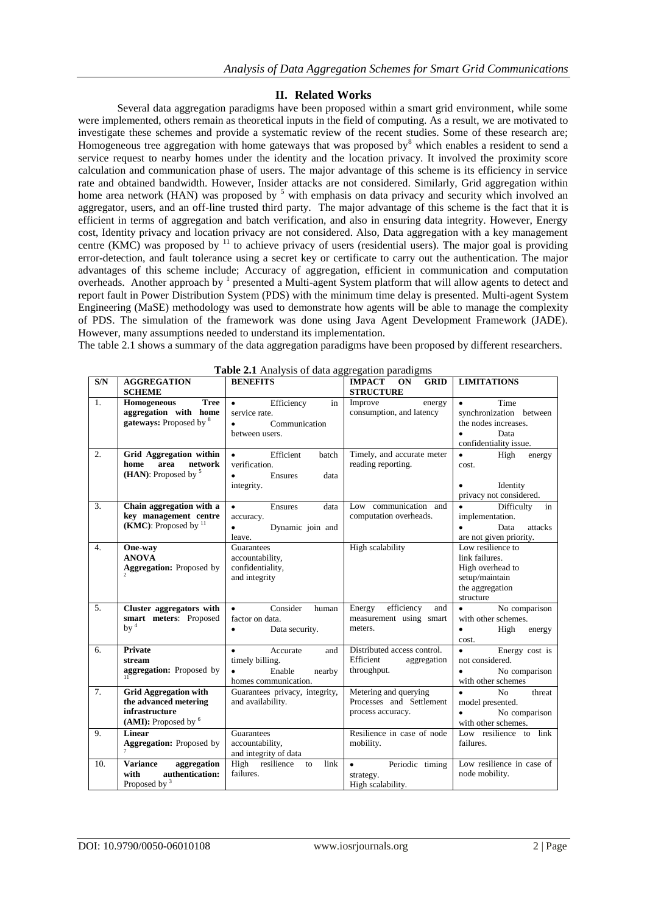# **II. Related Works**

Several data aggregation paradigms have been proposed within a smart grid environment, while some were implemented, others remain as theoretical inputs in the field of computing. As a result, we are motivated to investigate these schemes and provide a systematic review of the recent studies. Some of these research are; Homogeneous tree aggregation with home gateways that was proposed by<sup>8</sup> which enables a resident to send a service request to nearby homes under the identity and the location privacy. It involved the proximity score calculation and communication phase of users. The major advantage of this scheme is its efficiency in service rate and obtained bandwidth. However, Insider attacks are not considered. Similarly, Grid aggregation within home area network (HAN) was proposed by <sup>5</sup> with emphasis on data privacy and security which involved an aggregator, users, and an off-line trusted third party. The major advantage of this scheme is the fact that it is efficient in terms of aggregation and batch verification, and also in ensuring data integrity. However, Energy cost, Identity privacy and location privacy are not considered. Also, Data aggregation with a key management centre (KMC) was proposed by  $11$  to achieve privacy of users (residential users). The major goal is providing error-detection, and fault tolerance using a secret key or certificate to carry out the authentication. The major advantages of this scheme include; Accuracy of aggregation, efficient in communication and computation overheads. Another approach by <sup>1</sup> presented a Multi-agent System platform that will allow agents to detect and report fault in Power Distribution System (PDS) with the minimum time delay is presented. Multi-agent System Engineering (MaSE) methodology was used to demonstrate how agents will be able to manage the complexity of PDS. The simulation of the framework was done using Java Agent Development Framework (JADE). However, many assumptions needed to understand its implementation.

The table 2.1 shows a summary of the data aggregation paradigms have been proposed by different researchers.

| S/N              | <b>AGGREGATION</b><br><b>SCHEME</b>                                                             | <b>BENEFITS</b>                                                                                          | <b>GRID</b><br>IMPACT ON<br><b>STRUCTURE</b>                           | <b>LIMITATIONS</b>                                                                                                  |
|------------------|-------------------------------------------------------------------------------------------------|----------------------------------------------------------------------------------------------------------|------------------------------------------------------------------------|---------------------------------------------------------------------------------------------------------------------|
| $\mathbf{1}$ .   | <b>Tree</b><br>Homogeneous<br>aggregation with home<br>gateways: Proposed by 8                  | Efficiency<br>in<br>$\bullet$<br>service rate.<br>$\bullet$<br>Communication<br>between users.           | Improve<br>energy<br>consumption, and latency                          | $\bullet$<br>Time<br>synchronization between<br>the nodes increases.<br>Data<br>$\bullet$<br>confidentiality issue. |
| $\overline{2}$ . | Grid Aggregation within<br>area<br>home<br>network<br>(HAN): Proposed by $5$                    | Efficient<br>$\bullet$<br>batch<br>verification.<br>Ensures<br>data<br>integrity.                        | Timely, and accurate meter<br>reading reporting.                       | $\bullet$<br>High<br>energy<br>cost.<br>Identity<br>privacy not considered.                                         |
| $\overline{3}$ . | Chain aggregation with a<br>key management centre<br>(KMC): Proposed by $11$                    | Ensures<br>$\bullet$<br>data<br>accuracy.<br>Dynamic join and<br>$\bullet$<br>leave.                     | Low communication and<br>computation overheads.                        | Difficulty<br>in<br>implementation.<br>Data<br>$\bullet$<br>attacks<br>are not given priority.                      |
| 4.               | One-way<br><b>ANOVA</b><br><b>Aggregation:</b> Proposed by                                      | Guarantees<br>accountability,<br>confidentiality,<br>and integrity                                       | High scalability                                                       | Low resilience to<br>link failures.<br>High overhead to<br>setup/maintain<br>the aggregation<br>structure           |
| 5.               | Cluster aggregators with<br>smart meters: Proposed<br>by $4$                                    | Consider<br>$\bullet$<br>human<br>factor on data.<br>Data security.<br>$\bullet$                         | efficiency<br>Energy<br>and<br>measurement using smart<br>meters.      | $\bullet$<br>No comparison<br>with other schemes.<br>High<br>$\bullet$<br>energy<br>cost.                           |
| 6.               | <b>Private</b><br>stream<br>aggregation: Proposed by                                            | $\bullet$<br>Accurate<br>and<br>timely billing.<br>Enable<br>$\bullet$<br>nearby<br>homes communication. | Distributed access control.<br>Efficient<br>aggregation<br>throughput. | $\bullet$<br>Energy cost is<br>not considered.<br>No comparison<br>$\bullet$<br>with other schemes                  |
| 7.               | <b>Grid Aggregation with</b><br>the advanced metering<br>infrastructure<br>(AMI): Proposed by 6 | Guarantees privacy, integrity,<br>and availability.                                                      | Metering and querying<br>Processes and Settlement<br>process accuracy. | N <sub>0</sub><br>threat<br>model presented.<br>No comparison<br>with other schemes.                                |
| 9.               | Linear<br><b>Aggregation:</b> Proposed by                                                       | Guarantees<br>accountability,<br>and integrity of data                                                   | Resilience in case of node<br>mobility.                                | Low resilience to link<br>failures.                                                                                 |
| 10.              | aggregation<br><b>Variance</b><br>authentication:<br>with<br>Proposed by $3$                    | High resilience<br>link<br>to<br>failures.                                                               | Periodic timing<br>$\bullet$<br>strategy.<br>High scalability.         | Low resilience in case of<br>node mobility.                                                                         |

**Table 2.1** Analysis of data aggregation paradigms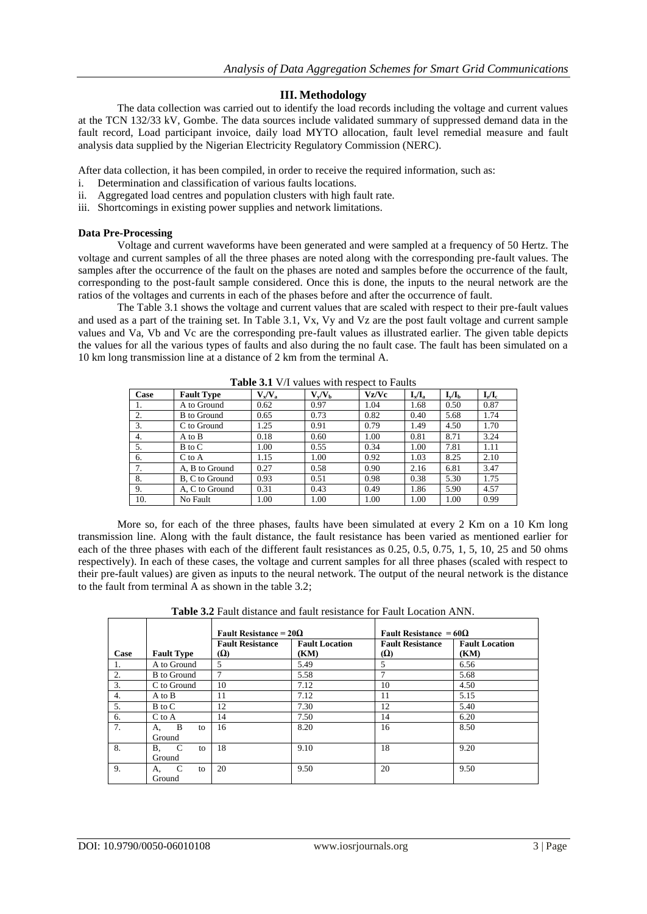# **III. Methodology**

The data collection was carried out to identify the load records including the voltage and current values at the TCN 132/33 kV, Gombe. The data sources include validated summary of suppressed demand data in the fault record, Load participant invoice, daily load MYTO allocation, fault level remedial measure and fault analysis data supplied by the Nigerian Electricity Regulatory Commission (NERC).

After data collection, it has been compiled, in order to receive the required information, such as:

- i. Determination and classification of various faults locations.
- ii. Aggregated load centres and population clusters with high fault rate.
- iii. Shortcomings in existing power supplies and network limitations.

#### **Data Pre-Processing**

Voltage and current waveforms have been generated and were sampled at a frequency of 50 Hertz. The voltage and current samples of all the three phases are noted along with the corresponding pre-fault values. The samples after the occurrence of the fault on the phases are noted and samples before the occurrence of the fault, corresponding to the post-fault sample considered. Once this is done, the inputs to the neural network are the ratios of the voltages and currents in each of the phases before and after the occurrence of fault.

The Table 3.1 shows the voltage and current values that are scaled with respect to their pre-fault values and used as a part of the training set. In Table 3.1, Vx, Vy and Vz are the post fault voltage and current sample values and Va, Vb and Vc are the corresponding pre-fault values as illustrated earlier. The given table depicts the values for all the various types of faults and also during the no fault case. The fault has been simulated on a 10 km long transmission line at a distance of 2 km from the terminal A.

| Case | <b>Fault Type</b>  | $V_{\rm v}/V_{\rm a}$ | $V_{\nu}/V_{\rm h}$ | Vz/Vc | $I_x/I_a$ | $I_{v}/I_{h}$ | $I_{\nu}/I_{c}$ |
|------|--------------------|-----------------------|---------------------|-------|-----------|---------------|-----------------|
| 1.   | A to Ground        | 0.62                  | 0.97                | 1.04  | 1.68      | 0.50          | 0.87            |
| 2.   | <b>B</b> to Ground | 0.65                  | 0.73                | 0.82  | 0.40      | 5.68          | 1.74            |
| 3.   | C to Ground        | 1.25                  | 0.91                | 0.79  | 1.49      | 4.50          | 1.70            |
| 4.   | A to B             | 0.18                  | 0.60                | 1.00  | 0.81      | 8.71          | 3.24            |
| 5.   | B to C             | 1.00                  | 0.55                | 0.34  | 1.00      | 7.81          | 1.11            |
| 6.   | $C$ to $A$         | 1.15                  | 1.00                | 0.92  | 1.03      | 8.25          | 2.10            |
| 7.   | A, B to Ground     | 0.27                  | 0.58                | 0.90  | 2.16      | 6.81          | 3.47            |
| 8.   | B, C to Ground     | 0.93                  | 0.51                | 0.98  | 0.38      | 5.30          | 1.75            |
| 9.   | A, C to Ground     | 0.31                  | 0.43                | 0.49  | 1.86      | 5.90          | 4.57            |
| 10.  | No Fault           | 1.00                  | 1.00                | 1.00  | 1.00      | 1.00          | 0.99            |

**Table 3.1** V/I values with respect to Faults

More so, for each of the three phases, faults have been simulated at every 2 Km on a 10 Km long transmission line. Along with the fault distance, the fault resistance has been varied as mentioned earlier for each of the three phases with each of the different fault resistances as 0.25, 0.5, 0.75, 1, 5, 10, 25 and 50 ohms respectively). In each of these cases, the voltage and current samples for all three phases (scaled with respect to their pre-fault values) are given as inputs to the neural network. The output of the neural network is the distance to the fault from terminal A as shown in the table 3.2;

| <b>Table 3.2</b> Fault distance and fault resistance for Fault Location ANN. |  |
|------------------------------------------------------------------------------|--|
|------------------------------------------------------------------------------|--|

|      |                           | Fault Resistance = $20\Omega$         |                               | Fault Resistance = $60\Omega$         |                               |
|------|---------------------------|---------------------------------------|-------------------------------|---------------------------------------|-------------------------------|
| Case | <b>Fault Type</b>         | <b>Fault Resistance</b><br><b>(Ω)</b> | <b>Fault Location</b><br>(KM) | <b>Fault Resistance</b><br>$(\Omega)$ | <b>Fault Location</b><br>(KM) |
| 1.   | A to Ground               | 5                                     | 5.49                          | 5                                     | 6.56                          |
| 2.   | <b>B</b> to Ground        | 7                                     | 5.58                          |                                       | 5.68                          |
| 3.   | C to Ground               | 10                                    | 7.12                          | 10                                    | 4.50                          |
| 4.   | A to B                    | 11                                    | 7.12                          | 11                                    | 5.15                          |
| 5.   | B to C                    | 12                                    | 7.30                          | 12                                    | 5.40                          |
| 6.   | $C$ to $A$                | 14                                    | 7.50                          | 14                                    | 6.20                          |
| 7.   | B<br>А.<br>to<br>Ground   | 16                                    | 8.20                          | 16                                    | 8.50                          |
| 8.   | B, C<br>to<br>Ground      | 18                                    | 9.10                          | 18                                    | 9.20                          |
| 9.   | - C<br>to<br>А.<br>Ground | 20                                    | 9.50                          | 20                                    | 9.50                          |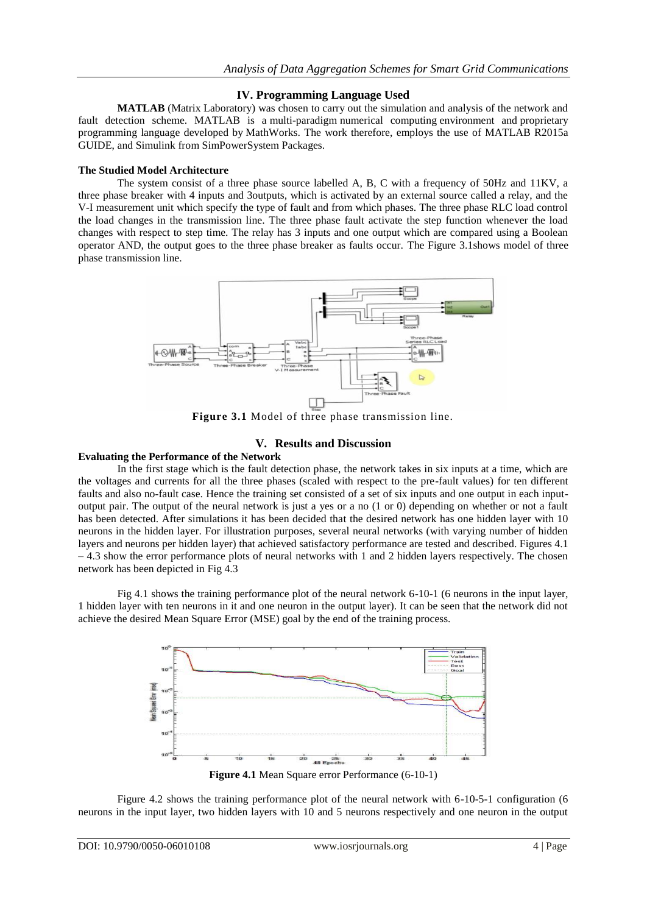## **IV. Programming Language Used**

**MATLAB** (Matrix Laboratory) was chosen to carry out the simulation and analysis of the network and fault detection scheme. MATLAB is a [multi-paradigm](https://en.wikipedia.org/wiki/Multi-paradigm_programming_language) [numerical computing](https://en.wikipedia.org/wiki/Numerical_analysis) environment and [proprietary](https://en.wikipedia.org/wiki/Proprietary_programming_language)  [programming language](https://en.wikipedia.org/wiki/Proprietary_programming_language) developed by [MathWorks.](https://en.wikipedia.org/wiki/MathWorks) The work therefore, employs the use of MATLAB R2015a GUIDE, and Simulink from SimPowerSystem Packages.

#### **The Studied Model Architecture**

The system consist of a three phase source labelled A, B, C with a frequency of 50Hz and 11KV, a three phase breaker with 4 inputs and 3outputs, which is activated by an external source called a relay, and the V-I measurement unit which specify the type of fault and from which phases. The three phase RLC load control the load changes in the transmission line. The three phase fault activate the step function whenever the load changes with respect to step time. The relay has 3 inputs and one output which are compared using a Boolean operator AND, the output goes to the three phase breaker as faults occur. The Figure 3.1shows model of three phase transmission line.



**Figure 3.1** Model of three phase transmission line.

#### **V. Results and Discussion**

## **Evaluating the Performance of the Network**

In the first stage which is the fault detection phase, the network takes in six inputs at a time, which are the voltages and currents for all the three phases (scaled with respect to the pre-fault values) for ten different faults and also no-fault case. Hence the training set consisted of a set of six inputs and one output in each inputoutput pair. The output of the neural network is just a yes or a no (1 or 0) depending on whether or not a fault has been detected. After simulations it has been decided that the desired network has one hidden layer with 10 neurons in the hidden layer. For illustration purposes, several neural networks (with varying number of hidden layers and neurons per hidden layer) that achieved satisfactory performance are tested and described. Figures 4.1 – 4.3 show the error performance plots of neural networks with 1 and 2 hidden layers respectively. The chosen network has been depicted in Fig 4.3

Fig 4.1 shows the training performance plot of the neural network 6-10-1 (6 neurons in the input layer, 1 hidden layer with ten neurons in it and one neuron in the output layer). It can be seen that the network did not achieve the desired Mean Square Error (MSE) goal by the end of the training process.



Figure 4.2 shows the training performance plot of the neural network with 6-10-5-1 configuration (6 neurons in the input layer, two hidden layers with 10 and 5 neurons respectively and one neuron in the output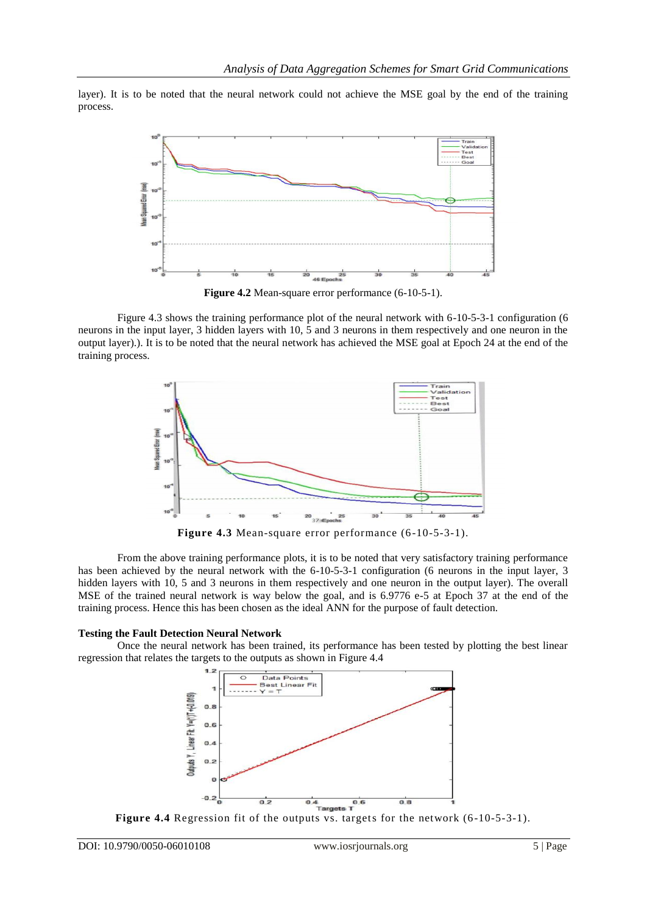layer). It is to be noted that the neural network could not achieve the MSE goal by the end of the training process.



**Figure 4.2** Mean-square error performance (6-10-5-1).

Figure 4.3 shows the training performance plot of the neural network with 6-10-5-3-1 configuration (6 neurons in the input layer, 3 hidden layers with 10, 5 and 3 neurons in them respectively and one neuron in the output layer).). It is to be noted that the neural network has achieved the MSE goal at Epoch 24 at the end of the training process.



From the above training performance plots, it is to be noted that very satisfactory training performance has been achieved by the neural network with the 6-10-5-3-1 configuration (6 neurons in the input layer, 3 hidden layers with 10, 5 and 3 neurons in them respectively and one neuron in the output layer). The overall MSE of the trained neural network is way below the goal, and is 6.9776 e-5 at Epoch 37 at the end of the training process. Hence this has been chosen as the ideal ANN for the purpose of fault detection.

#### **Testing the Fault Detection Neural Network**

Once the neural network has been trained, its performance has been tested by plotting the best linear regression that relates the targets to the outputs as shown in Figure 4.4



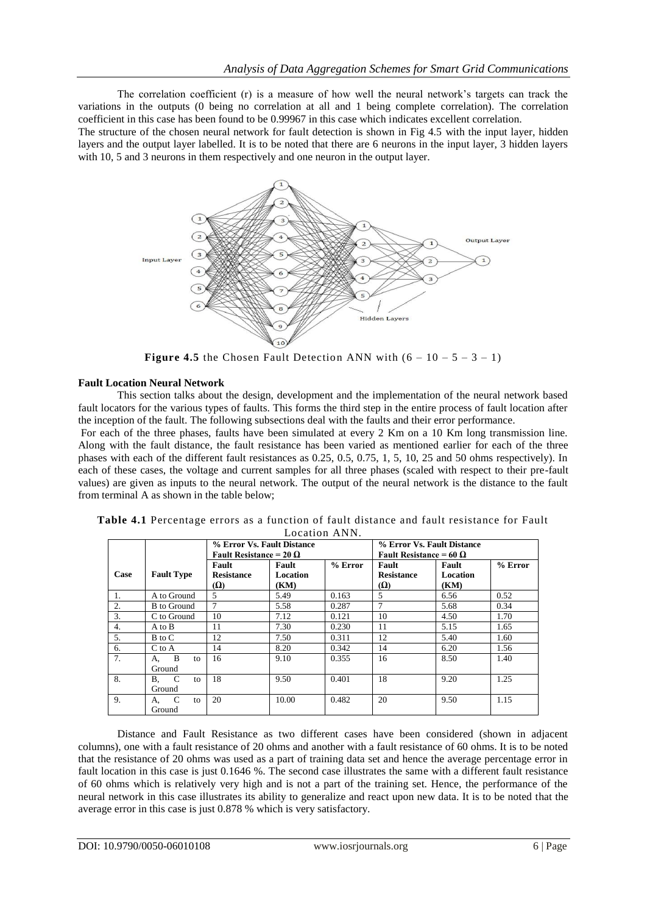The correlation coefficient (r) is a measure of how well the neural network"s targets can track the variations in the outputs (0 being no correlation at all and 1 being complete correlation). The correlation coefficient in this case has been found to be 0.99967 in this case which indicates excellent correlation.

The structure of the chosen neural network for fault detection is shown in Fig 4.5 with the input layer, hidden layers and the output layer labelled. It is to be noted that there are 6 neurons in the input layer, 3 hidden layers with 10, 5 and 3 neurons in them respectively and one neuron in the output layer.



**Figure 4.5** the Chosen Fault Detection ANN with  $(6 - 10 - 5 - 3 - 1)$ 

## **Fault Location Neural Network**

This section talks about the design, development and the implementation of the neural network based fault locators for the various types of faults. This forms the third step in the entire process of fault location after the inception of the fault. The following subsections deal with the faults and their error performance.

For each of the three phases, faults have been simulated at every 2 Km on a 10 Km long transmission line. Along with the fault distance, the fault resistance has been varied as mentioned earlier for each of the three phases with each of the different fault resistances as 0.25, 0.5, 0.75, 1, 5, 10, 25 and 50 ohms respectively). In each of these cases, the voltage and current samples for all three phases (scaled with respect to their pre-fault values) are given as inputs to the neural network. The output of the neural network is the distance to the fault from terminal A as shown in the table below;

|                  |                                | % Error Vs. Fault Distance<br>Fault Resistance = 20 $\Omega$ |                           |           | % Error Vs. Fault Distance<br>Fault Resistance = 60 $\Omega$ |                           |           |  |  |
|------------------|--------------------------------|--------------------------------------------------------------|---------------------------|-----------|--------------------------------------------------------------|---------------------------|-----------|--|--|
| Case             | <b>Fault Type</b>              | Fault<br><b>Resistance</b><br><b>Ω</b>                       | Fault<br>Location<br>(KM) | $%$ Error | Fault<br><b>Resistance</b><br>(Ω)                            | Fault<br>Location<br>(KM) | $%$ Error |  |  |
| 1.               | A to Ground                    | 5                                                            | 5.49                      | 0.163     | 5                                                            | 6.56                      | 0.52      |  |  |
| $\overline{2}$ . | <b>B</b> to Ground             | 7                                                            | 5.58                      | 0.287     |                                                              | 5.68                      | 0.34      |  |  |
| 3.               | C to Ground                    | 10                                                           | 7.12                      | 0.121     | 10                                                           | 4.50                      | 1.70      |  |  |
| 4.               | A to B                         | 11                                                           | 7.30                      | 0.230     | 11                                                           | 5.15                      | 1.65      |  |  |
| 5.               | B to C                         | 12                                                           | 7.50                      | 0.311     | 12                                                           | 5.40                      | 1.60      |  |  |
| 6.               | $C$ to $A$                     | 14                                                           | 8.20                      | 0.342     | 14                                                           | 6.20                      | 1.56      |  |  |
| 7.               | B<br>А.<br>to<br>Ground        | 16                                                           | 9.10                      | 0.355     | 16                                                           | 8.50                      | 1.40      |  |  |
| 8.               | C<br><b>B.</b><br>to<br>Ground | 18                                                           | 9.50                      | 0.401     | 18                                                           | 9.20                      | 1.25      |  |  |
| 9.               | C<br>А.<br>to<br>Ground        | 20                                                           | 10.00                     | 0.482     | 20                                                           | 9.50                      | 1.15      |  |  |

| Table 4.1 Percentage errors as a function of fault distance and fault resistance for Fault |  |  |  |  |  |  |  |  |  |
|--------------------------------------------------------------------------------------------|--|--|--|--|--|--|--|--|--|
| Location ANN.                                                                              |  |  |  |  |  |  |  |  |  |

Distance and Fault Resistance as two different cases have been considered (shown in adjacent columns), one with a fault resistance of 20 ohms and another with a fault resistance of 60 ohms. It is to be noted that the resistance of 20 ohms was used as a part of training data set and hence the average percentage error in fault location in this case is just 0.1646 %. The second case illustrates the same with a different fault resistance of 60 ohms which is relatively very high and is not a part of the training set. Hence, the performance of the neural network in this case illustrates its ability to generalize and react upon new data. It is to be noted that the average error in this case is just 0.878 % which is very satisfactory.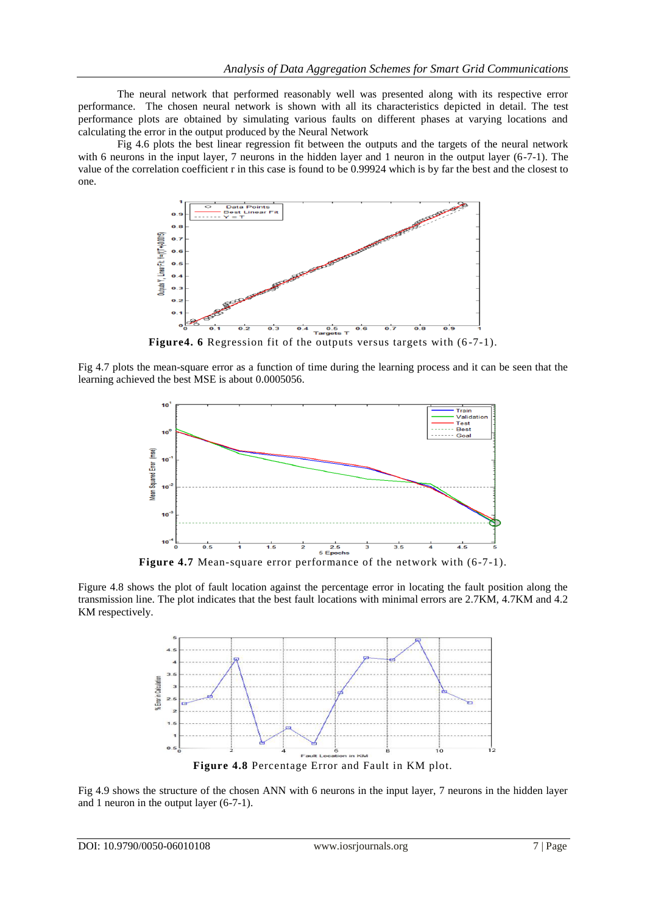The neural network that performed reasonably well was presented along with its respective error performance. The chosen neural network is shown with all its characteristics depicted in detail. The test performance plots are obtained by simulating various faults on different phases at varying locations and calculating the error in the output produced by the Neural Network

Fig 4.6 plots the best linear regression fit between the outputs and the targets of the neural network with 6 neurons in the input layer, 7 neurons in the hidden layer and 1 neuron in the output layer (6-7-1). The value of the correlation coefficient r in this case is found to be 0.99924 which is by far the best and the closest to one.



Figure4. 6 Regression fit of the outputs versus targets with  $(6-7-1)$ .

Fig 4.7 plots the mean-square error as a function of time during the learning process and it can be seen that the learning achieved the best MSE is about 0.0005056.



**Figure 4.7** Mean-square error performance of the network with (6-7-1).

Figure 4.8 shows the plot of fault location against the percentage error in locating the fault position along the transmission line. The plot indicates that the best fault locations with minimal errors are 2.7KM, 4.7KM and 4.2 KM respectively.



Fig 4.9 shows the structure of the chosen ANN with 6 neurons in the input layer, 7 neurons in the hidden layer and 1 neuron in the output layer (6-7-1).